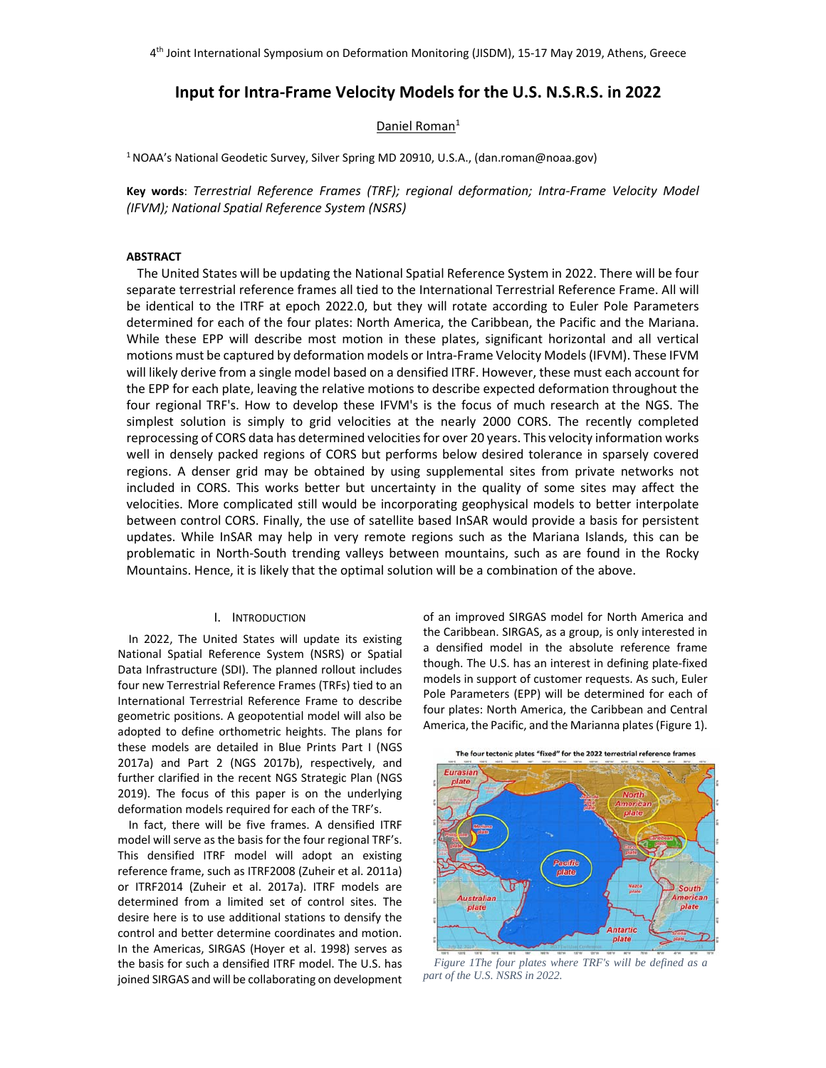# **Input for Intra‐Frame Velocity Models for the U.S. N.S.R.S. in 2022**

## Daniel Roman<sup>1</sup>

1 NOAA's National Geodetic Survey, Silver Spring MD 20910, U.S.A., (dan.roman@noaa.gov)

**Key words**: *Terrestrial Reference Frames (TRF); regional deformation; Intra‐Frame Velocity Model (IFVM); National Spatial Reference System (NSRS)* 

#### **ABSTRACT**

The United States will be updating the National Spatial Reference System in 2022. There will be four separate terrestrial reference frames all tied to the International Terrestrial Reference Frame. All will be identical to the ITRF at epoch 2022.0, but they will rotate according to Euler Pole Parameters determined for each of the four plates: North America, the Caribbean, the Pacific and the Mariana. While these EPP will describe most motion in these plates, significant horizontal and all vertical motions must be captured by deformation models or Intra‐Frame Velocity Models (IFVM). These IFVM will likely derive from a single model based on a densified ITRF. However, these must each account for the EPP for each plate, leaving the relative motions to describe expected deformation throughout the four regional TRF's. How to develop these IFVM's is the focus of much research at the NGS. The simplest solution is simply to grid velocities at the nearly 2000 CORS. The recently completed reprocessing of CORS data has determined velocities for over 20 years. This velocity information works well in densely packed regions of CORS but performs below desired tolerance in sparsely covered regions. A denser grid may be obtained by using supplemental sites from private networks not included in CORS. This works better but uncertainty in the quality of some sites may affect the velocities. More complicated still would be incorporating geophysical models to better interpolate between control CORS. Finally, the use of satellite based InSAR would provide a basis for persistent updates. While InSAR may help in very remote regions such as the Mariana Islands, this can be problematic in North‐South trending valleys between mountains, such as are found in the Rocky Mountains. Hence, it is likely that the optimal solution will be a combination of the above.

## I. INTRODUCTION

In 2022, The United States will update its existing National Spatial Reference System (NSRS) or Spatial Data Infrastructure (SDI). The planned rollout includes four new Terrestrial Reference Frames (TRFs) tied to an International Terrestrial Reference Frame to describe geometric positions. A geopotential model will also be adopted to define orthometric heights. The plans for these models are detailed in Blue Prints Part I (NGS 2017a) and Part 2 (NGS 2017b), respectively, and further clarified in the recent NGS Strategic Plan (NGS 2019). The focus of this paper is on the underlying deformation models required for each of the TRF's.

In fact, there will be five frames. A densified ITRF model will serve as the basis for the four regional TRF's. This densified ITRF model will adopt an existing reference frame, such as ITRF2008 (Zuheir et al. 2011a) or ITRF2014 (Zuheir et al. 2017a). ITRF models are determined from a limited set of control sites. The desire here is to use additional stations to densify the control and better determine coordinates and motion. In the Americas, SIRGAS (Hoyer et al. 1998) serves as the basis for such a densified ITRF model. The U.S. has joined SIRGAS and will be collaborating on development of an improved SIRGAS model for North America and the Caribbean. SIRGAS, as a group, is only interested in a densified model in the absolute reference frame though. The U.S. has an interest in defining plate‐fixed models in support of customer requests. As such, Euler Pole Parameters (EPP) will be determined for each of four plates: North America, the Caribbean and Central America, the Pacific, and the Marianna plates (Figure 1).



*Figure 1The four plates where TRF's will be defined as a part of the U.S. NSRS in 2022.*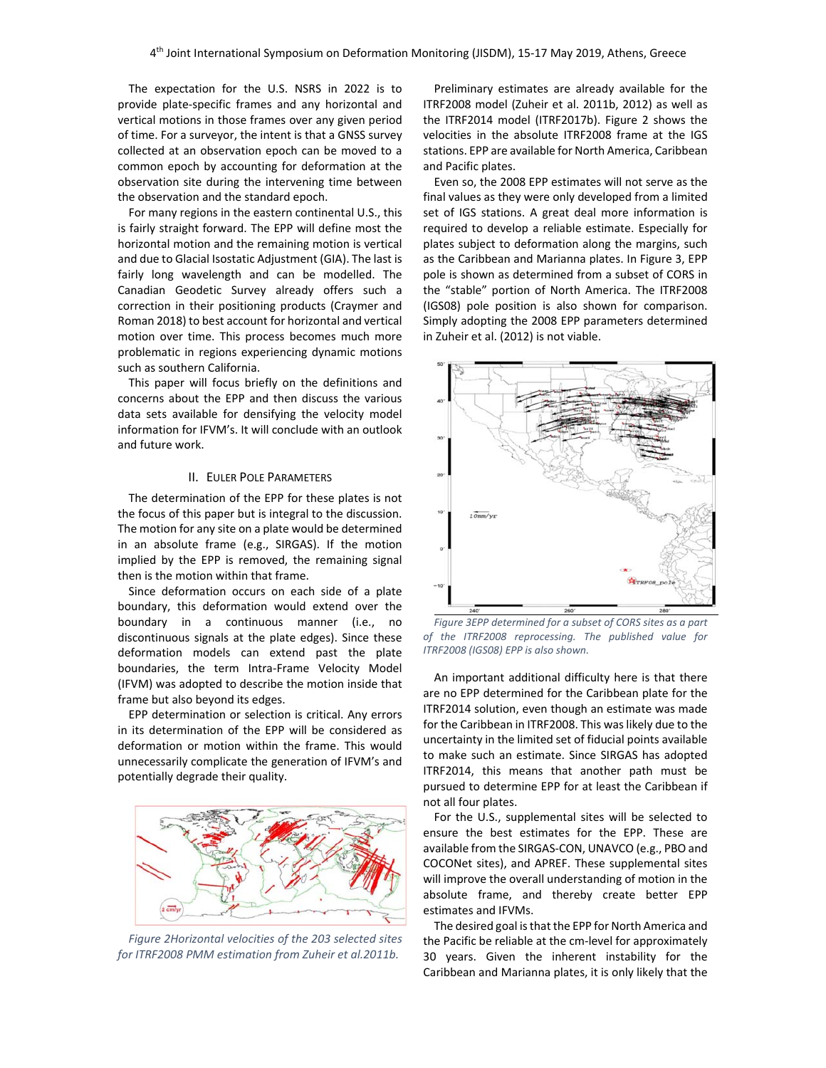The expectation for the U.S. NSRS in 2022 is to provide plate‐specific frames and any horizontal and vertical motions in those frames over any given period of time. For a surveyor, the intent is that a GNSS survey collected at an observation epoch can be moved to a common epoch by accounting for deformation at the observation site during the intervening time between the observation and the standard epoch.

For many regions in the eastern continental U.S., this is fairly straight forward. The EPP will define most the horizontal motion and the remaining motion is vertical and due to Glacial Isostatic Adjustment (GIA). The last is fairly long wavelength and can be modelled. The Canadian Geodetic Survey already offers such a correction in their positioning products (Craymer and Roman 2018) to best account for horizontal and vertical motion over time. This process becomes much more problematic in regions experiencing dynamic motions such as southern California.

This paper will focus briefly on the definitions and concerns about the EPP and then discuss the various data sets available for densifying the velocity model information for IFVM's. It will conclude with an outlook and future work.

## II. EULER POLE PARAMETERS

The determination of the EPP for these plates is not the focus of this paper but is integral to the discussion. The motion for any site on a plate would be determined in an absolute frame (e.g., SIRGAS). If the motion implied by the EPP is removed, the remaining signal then is the motion within that frame.

Since deformation occurs on each side of a plate boundary, this deformation would extend over the boundary in a continuous manner (i.e., no discontinuous signals at the plate edges). Since these deformation models can extend past the plate boundaries, the term Intra‐Frame Velocity Model (IFVM) was adopted to describe the motion inside that frame but also beyond its edges.

EPP determination or selection is critical. Any errors in its determination of the EPP will be considered as deformation or motion within the frame. This would unnecessarily complicate the generation of IFVM's and potentially degrade their quality.



*Figure 2Horizontal velocities of the 203 selected sites for ITRF2008 PMM estimation from Zuheir et al.2011b.* 

Preliminary estimates are already available for the ITRF2008 model (Zuheir et al. 2011b, 2012) as well as the ITRF2014 model (ITRF2017b). Figure 2 shows the velocities in the absolute ITRF2008 frame at the IGS stations. EPP are available for North America, Caribbean and Pacific plates.

Even so, the 2008 EPP estimates will not serve as the final values as they were only developed from a limited set of IGS stations. A great deal more information is required to develop a reliable estimate. Especially for plates subject to deformation along the margins, such as the Caribbean and Marianna plates. In Figure 3, EPP pole is shown as determined from a subset of CORS in the "stable" portion of North America. The ITRF2008 (IGS08) pole position is also shown for comparison. Simply adopting the 2008 EPP parameters determined in Zuheir et al. (2012) is not viable.



*Figure 3EPP determined for a subset of CORS sites as a part of the ITRF2008 reprocessing. The published value for ITRF2008 (IGS08) EPP is also shown.*

An important additional difficulty here is that there are no EPP determined for the Caribbean plate for the ITRF2014 solution, even though an estimate was made for the Caribbean in ITRF2008. This was likely due to the uncertainty in the limited set of fiducial points available to make such an estimate. Since SIRGAS has adopted ITRF2014, this means that another path must be pursued to determine EPP for at least the Caribbean if not all four plates.

For the U.S., supplemental sites will be selected to ensure the best estimates for the EPP. These are available from the SIRGAS‐CON, UNAVCO (e.g., PBO and COCONet sites), and APREF. These supplemental sites will improve the overall understanding of motion in the absolute frame, and thereby create better EPP estimates and IFVMs.

The desired goal is that the EPP for North America and the Pacific be reliable at the cm‐level for approximately 30 years. Given the inherent instability for the Caribbean and Marianna plates, it is only likely that the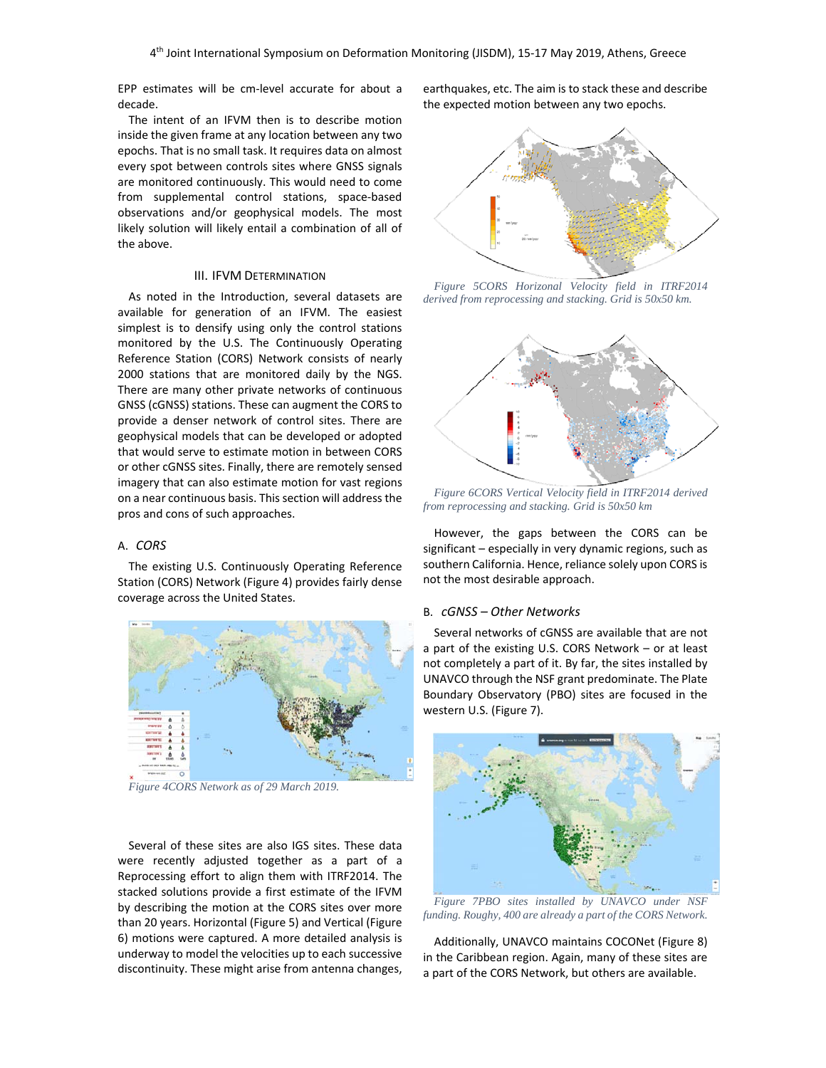EPP estimates will be cm-level accurate for about a decade.

The intent of an IFVM then is to describe motion inside the given frame at any location between any two epochs. That is no small task. It requires data on almost every spot between controls sites where GNSS signals are monitored continuously. This would need to come from supplemental control stations, space‐based observations and/or geophysical models. The most likely solution will likely entail a combination of all of the above.

## III. IFVM DETERMINATION

As noted in the Introduction, several datasets are available for generation of an IFVM. The easiest simplest is to densify using only the control stations monitored by the U.S. The Continuously Operating Reference Station (CORS) Network consists of nearly 2000 stations that are monitored daily by the NGS. There are many other private networks of continuous GNSS (cGNSS) stations. These can augment the CORS to provide a denser network of control sites. There are geophysical models that can be developed or adopted that would serve to estimate motion in between CORS or other cGNSS sites. Finally, there are remotely sensed imagery that can also estimate motion for vast regions on a near continuous basis. This section will address the pros and cons of such approaches.

## A. *CORS*

The existing U.S. Continuously Operating Reference Station (CORS) Network (Figure 4) provides fairly dense coverage across the United States.



*Figure 4CORS Network as of 29 March 2019.*

Several of these sites are also IGS sites. These data were recently adjusted together as a part of a Reprocessing effort to align them with ITRF2014. The stacked solutions provide a first estimate of the IFVM by describing the motion at the CORS sites over more than 20 years. Horizontal (Figure 5) and Vertical (Figure 6) motions were captured. A more detailed analysis is underway to model the velocities up to each successive discontinuity. These might arise from antenna changes, earthquakes, etc. The aim is to stack these and describe the expected motion between any two epochs.



*Figure 5CORS Horizonal Velocity field in ITRF2014 derived from reprocessing and stacking. Grid is 50x50 km.*



*Figure 6CORS Vertical Velocity field in ITRF2014 derived from reprocessing and stacking. Grid is 50x50 km*

However, the gaps between the CORS can be significant – especially in very dynamic regions, such as southern California. Hence, reliance solely upon CORS is not the most desirable approach.

## B. *cGNSS – Other Networks*

Several networks of cGNSS are available that are not a part of the existing U.S. CORS Network – or at least not completely a part of it. By far, the sites installed by UNAVCO through the NSF grant predominate. The Plate Boundary Observatory (PBO) sites are focused in the western U.S. (Figure 7).



*Figure 7PBO sites installed by UNAVCO under NSF funding. Roughy, 400 are already a part of the CORS Network.*

Additionally, UNAVCO maintains COCONet (Figure 8) in the Caribbean region. Again, many of these sites are a part of the CORS Network, but others are available.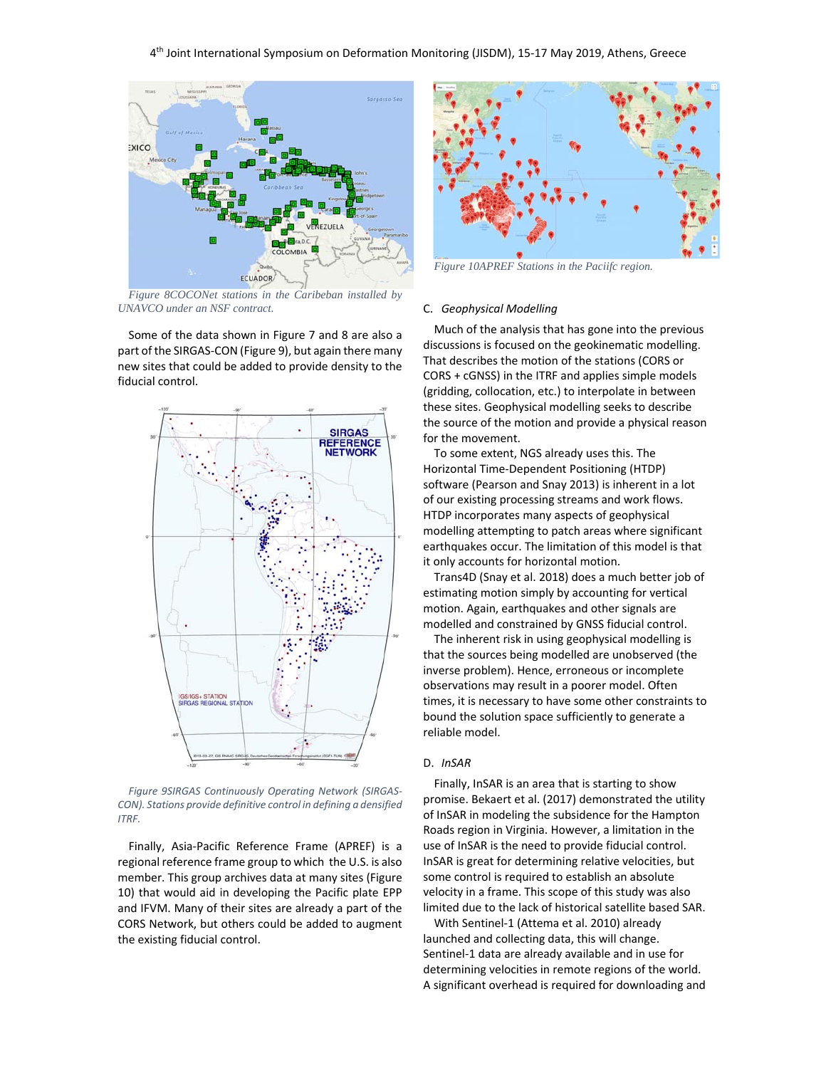

*Figure 8COCONet stations in the Caribeban installed by UNAVCO under an NSF contract.*

Some of the data shown in Figure 7 and 8 are also a part of the SIRGAS‐CON (Figure 9), but again there many new sites that could be added to provide density to the fiducial control.



*Figure 9SIRGAS Continuously Operating Network (SIRGAS‐ CON). Stations provide definitive control in defining a densified ITRF.* 

Finally, Asia‐Pacific Reference Frame (APREF) is a regional reference frame group to which the U.S. is also member. This group archives data at many sites (Figure 10) that would aid in developing the Pacific plate EPP and IFVM. Many of their sites are already a part of the CORS Network, but others could be added to augment the existing fiducial control.



*Figure 10APREF Stations in the Paciifc region.* 

## C. *Geophysical Modelling*

Much of the analysis that has gone into the previous discussions is focused on the geokinematic modelling. That describes the motion of the stations (CORS or CORS + cGNSS) in the ITRF and applies simple models (gridding, collocation, etc.) to interpolate in between these sites. Geophysical modelling seeks to describe the source of the motion and provide a physical reason for the movement.

To some extent, NGS already uses this. The Horizontal Time‐Dependent Positioning (HTDP) software (Pearson and Snay 2013) is inherent in a lot of our existing processing streams and work flows. HTDP incorporates many aspects of geophysical modelling attempting to patch areas where significant earthquakes occur. The limitation of this model is that it only accounts for horizontal motion.

Trans4D (Snay et al. 2018) does a much better job of estimating motion simply by accounting for vertical motion. Again, earthquakes and other signals are modelled and constrained by GNSS fiducial control.

The inherent risk in using geophysical modelling is that the sources being modelled are unobserved (the inverse problem). Hence, erroneous or incomplete observations may result in a poorer model. Often times, it is necessary to have some other constraints to bound the solution space sufficiently to generate a reliable model.

## D. *InSAR*

Finally, InSAR is an area that is starting to show promise. Bekaert et al. (2017) demonstrated the utility of InSAR in modeling the subsidence for the Hampton Roads region in Virginia. However, a limitation in the use of InSAR is the need to provide fiducial control. InSAR is great for determining relative velocities, but some control is required to establish an absolute velocity in a frame. This scope of this study was also limited due to the lack of historical satellite based SAR.

With Sentinel‐1 (Attema et al. 2010) already launched and collecting data, this will change. Sentinel‐1 data are already available and in use for determining velocities in remote regions of the world. A significant overhead is required for downloading and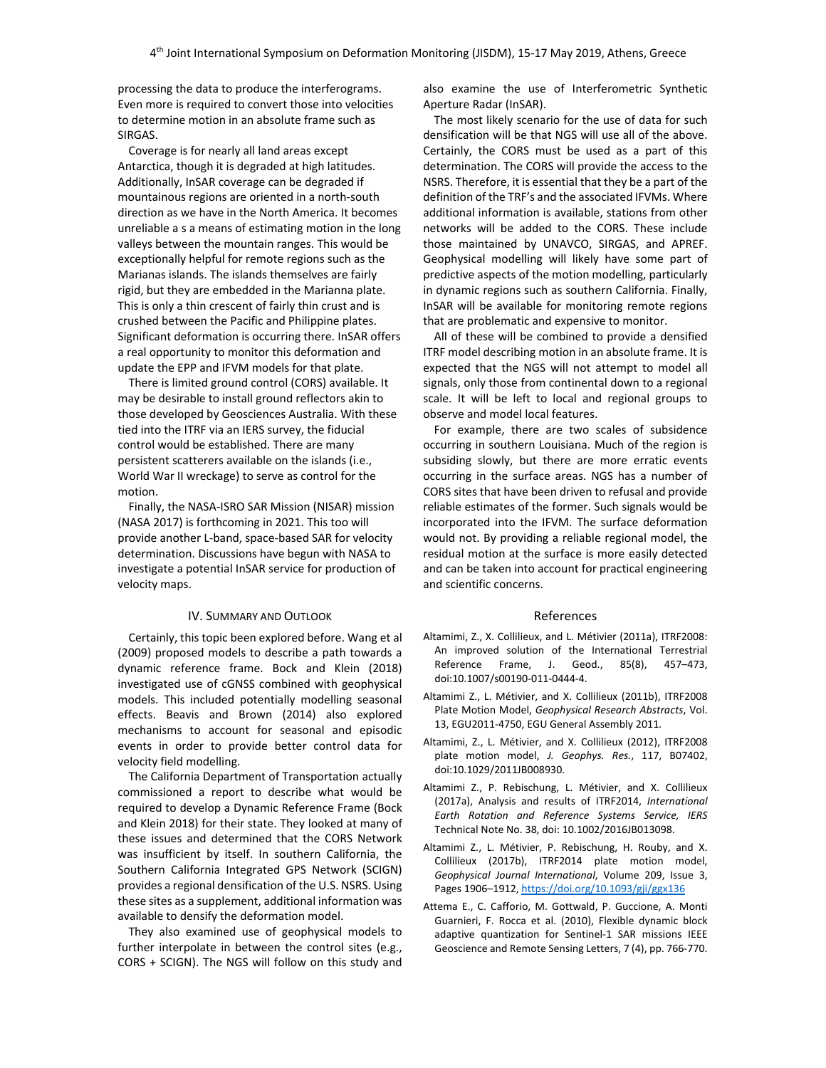processing the data to produce the interferograms. Even more is required to convert those into velocities to determine motion in an absolute frame such as SIRGAS.

Coverage is for nearly all land areas except Antarctica, though it is degraded at high latitudes. Additionally, InSAR coverage can be degraded if mountainous regions are oriented in a north‐south direction as we have in the North America. It becomes unreliable a s a means of estimating motion in the long valleys between the mountain ranges. This would be exceptionally helpful for remote regions such as the Marianas islands. The islands themselves are fairly rigid, but they are embedded in the Marianna plate. This is only a thin crescent of fairly thin crust and is crushed between the Pacific and Philippine plates. Significant deformation is occurring there. InSAR offers a real opportunity to monitor this deformation and update the EPP and IFVM models for that plate.

There is limited ground control (CORS) available. It may be desirable to install ground reflectors akin to those developed by Geosciences Australia. With these tied into the ITRF via an IERS survey, the fiducial control would be established. There are many persistent scatterers available on the islands (i.e., World War II wreckage) to serve as control for the motion.

Finally, the NASA‐ISRO SAR Mission (NISAR) mission (NASA 2017) is forthcoming in 2021. This too will provide another L‐band, space‐based SAR for velocity determination. Discussions have begun with NASA to investigate a potential InSAR service for production of velocity maps.

## IV. SUMMARY AND OUTLOOK

Certainly, this topic been explored before. Wang et al (2009) proposed models to describe a path towards a dynamic reference frame. Bock and Klein (2018) investigated use of cGNSS combined with geophysical models. This included potentially modelling seasonal effects. Beavis and Brown (2014) also explored mechanisms to account for seasonal and episodic events in order to provide better control data for velocity field modelling.

The California Department of Transportation actually commissioned a report to describe what would be required to develop a Dynamic Reference Frame (Bock and Klein 2018) for their state. They looked at many of these issues and determined that the CORS Network was insufficient by itself. In southern California, the Southern California Integrated GPS Network (SCIGN) provides a regional densification of the U.S. NSRS. Using these sites as a supplement, additional information was available to densify the deformation model.

They also examined use of geophysical models to further interpolate in between the control sites (e.g., CORS + SCIGN). The NGS will follow on this study and also examine the use of Interferometric Synthetic Aperture Radar (InSAR).

The most likely scenario for the use of data for such densification will be that NGS will use all of the above. Certainly, the CORS must be used as a part of this determination. The CORS will provide the access to the NSRS. Therefore, it is essential that they be a part of the definition of the TRF's and the associated IFVMs. Where additional information is available, stations from other networks will be added to the CORS. These include those maintained by UNAVCO, SIRGAS, and APREF. Geophysical modelling will likely have some part of predictive aspects of the motion modelling, particularly in dynamic regions such as southern California. Finally, InSAR will be available for monitoring remote regions that are problematic and expensive to monitor.

All of these will be combined to provide a densified ITRF model describing motion in an absolute frame. It is expected that the NGS will not attempt to model all signals, only those from continental down to a regional scale. It will be left to local and regional groups to observe and model local features.

For example, there are two scales of subsidence occurring in southern Louisiana. Much of the region is subsiding slowly, but there are more erratic events occurring in the surface areas. NGS has a number of CORS sites that have been driven to refusal and provide reliable estimates of the former. Such signals would be incorporated into the IFVM. The surface deformation would not. By providing a reliable regional model, the residual motion at the surface is more easily detected and can be taken into account for practical engineering and scientific concerns.

#### References

- Altamimi, Z., X. Collilieux, and L. Métivier (2011a), ITRF2008: An improved solution of the International Terrestrial Reference Frame, J. Geod., 85(8), 457–473, doi:10.1007/s00190‐011‐0444‐4.
- Altamimi Z., L. Métivier, and X. Collilieux (2011b), ITRF2008 Plate Motion Model, *Geophysical Research Abstracts*, Vol. 13, EGU2011‐4750, EGU General Assembly 2011.
- Altamimi, Z., L. Métivier, and X. Collilieux (2012), ITRF2008 plate motion model, *J. Geophys. Res.*, 117, B07402, doi:10.1029/2011JB008930.
- Altamimi Z., P. Rebischung, L. Métivier, and X. Collilieux (2017a), Analysis and results of ITRF2014, *International Earth Rotation and Reference Systems Service, IERS* Technical Note No. 38, doi: 10.1002/2016JB013098.
- Altamimi Z., L. Métivier, P. Rebischung, H. Rouby, and X. Collilieux (2017b), ITRF2014 plate motion model, *Geophysical Journal International*, Volume 209, Issue 3, Pages 1906–1912, https://doi.org/10.1093/gji/ggx136
- Attema E., C. Cafforio, M. Gottwald, P. Guccione, A. Monti Guarnieri, F. Rocca et al. (2010), Flexible dynamic block adaptive quantization for Sentinel‐1 SAR missions IEEE Geoscience and Remote Sensing Letters, 7 (4), pp. 766‐770.